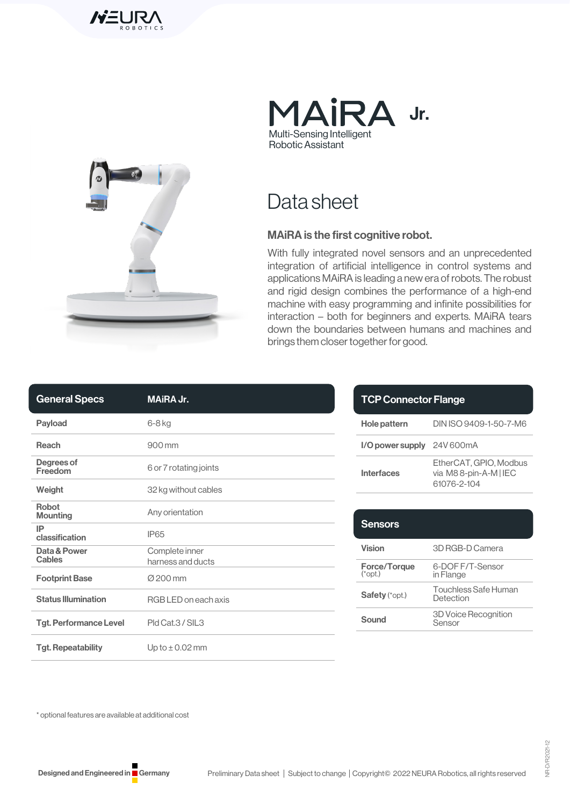





Data sheet

### MAiRA is the first cognitive robot.

With fully integrated novel sensors and an unprecedented integration of artificial intelligence in control systems and applications MAiRA is leading a new era of robots. The robust and rigid design combines the performance of a high-end machine with easy programming and infinite possibilities for interaction – both for beginners and experts. MAiRA tears down the boundaries between humans and machines and brings them closer together for good.

| <b>General Specs</b>          | <b>MAIRA Jr.</b>                    |
|-------------------------------|-------------------------------------|
| Payload                       | 6-8 kg                              |
| Reach                         | 900 mm                              |
| Degrees of<br>Freedom         | 6 or 7 rotating joints              |
| Weight                        | 32 kg without cables                |
| Robot<br><b>Mounting</b>      | Any orientation                     |
| IP<br>classification          | <b>IP65</b>                         |
| Data & Power<br><b>Cables</b> | Complete inner<br>harness and ducts |
| <b>Footprint Base</b>         | Ø 200 mm                            |
| <b>Status Illumination</b>    | RGB LED on each axis                |
| <b>Tgt. Performance Level</b> | Pld Cat.3 / SIL3                    |
| <b>Tgt. Repeatability</b>     | Up to $\pm$ 0.02 mm                 |

| <b>TCP Connector Flange</b> |                                                                |
|-----------------------------|----------------------------------------------------------------|
| <b>Hole pattern</b>         | DIN ISO 9409-1-50-7-M6                                         |
| I/O power supply            | 24V 600mA                                                      |
| Interfaces                  | EtherCAT. GPIO. Modbus<br>via M88-pin-A-M   IEC<br>61076-2-104 |
|                             |                                                                |

| <b>Sensors</b>            |                                       |
|---------------------------|---------------------------------------|
| <b>Vision</b>             | 3D RGB-D Camera                       |
| Force/Torque<br>$(*opt.)$ | 6-DOF F/T-Sensor<br>in Flange         |
| <b>Safety</b> (*opt.)     | Touchless Safe Human<br>Detection     |
| Sound                     | <b>3D Voice Recognition</b><br>Sensor |

\* optional features are available at additional cost